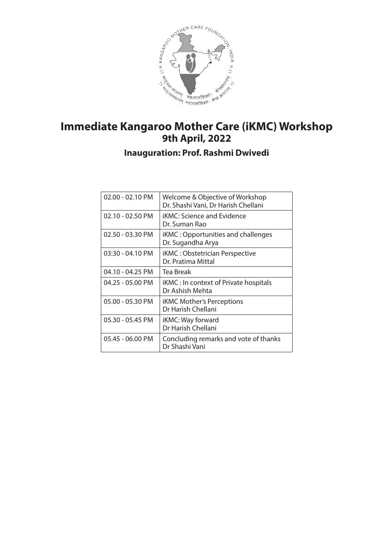

# **Immediate Kangaroo Mother Care (iKMC) Workshop**

**Inauguration: Prof. Rashmi Dwivedi**

| $02.00 - 02.10$ PM | Welcome & Objective of Workshop<br>Dr. Shashi Vani, Dr Harish Chellani |
|--------------------|------------------------------------------------------------------------|
| $02.10 - 02.50$ PM | <b>iKMC: Science and Evidence</b><br>Dr. Suman Rao                     |
| 02.50 - 03.30 PM   | iKMC: Opportunities and challenges<br>Dr. Sugandha Arya                |
| $03:30 - 04.10$ PM | <b>iKMC: Obstetrician Perspective</b><br>Dr. Pratima Mittal            |
| 04.10 - 04.25 PM   | Tea Break                                                              |
| 04.25 - 05.00 PM   | <b>iKMC</b> : In context of Private hospitals<br>Dr Ashish Mehta       |
| 05.00 - 05.30 PM   | <b>iKMC Mother's Perceptions</b><br>Dr Harish Chellani                 |
| 05.30 - 05.45 PM   | iKMC: Way forward<br>Dr Harish Chellani                                |
| 05.45 - 06.00 PM   | Concluding remarks and vote of thanks<br>Dr Shashi Vani                |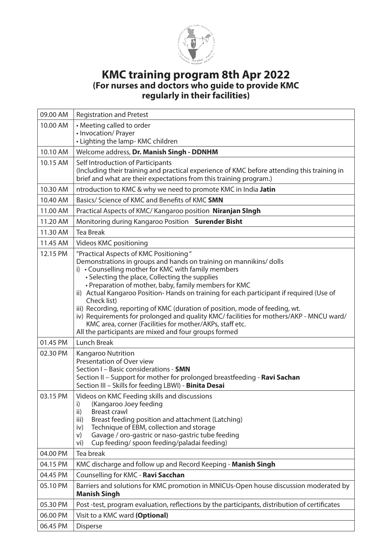

#### **KMC training program 8th Apr 2022 (For nurses and doctors who guide to provide KMC regularly in their facilities)**

| 09.00 AM | <b>Registration and Pretest</b>                                                                                                                                                                                                                                                                                                                                                                                                                                                                                                                                                                                                                                                          |
|----------|------------------------------------------------------------------------------------------------------------------------------------------------------------------------------------------------------------------------------------------------------------------------------------------------------------------------------------------------------------------------------------------------------------------------------------------------------------------------------------------------------------------------------------------------------------------------------------------------------------------------------------------------------------------------------------------|
| 10.00 AM | • Meeting called to order                                                                                                                                                                                                                                                                                                                                                                                                                                                                                                                                                                                                                                                                |
|          | • Invocation/ Prayer                                                                                                                                                                                                                                                                                                                                                                                                                                                                                                                                                                                                                                                                     |
|          | • Lighting the lamp-KMC children                                                                                                                                                                                                                                                                                                                                                                                                                                                                                                                                                                                                                                                         |
| 10.10 AM | Welcome address, Dr. Manish Singh - DDNHM                                                                                                                                                                                                                                                                                                                                                                                                                                                                                                                                                                                                                                                |
| 10.15 AM | Self Introduction of Participants<br>(Including their training and practical experience of KMC before attending this training in<br>brief and what are their expectations from this training program.)                                                                                                                                                                                                                                                                                                                                                                                                                                                                                   |
| 10.30 AM | ntroduction to KMC & why we need to promote KMC in India Jatin                                                                                                                                                                                                                                                                                                                                                                                                                                                                                                                                                                                                                           |
| 10.40 AM | Basics/ Science of KMC and Benefits of KMC SMN                                                                                                                                                                                                                                                                                                                                                                                                                                                                                                                                                                                                                                           |
| 11.00 AM | Practical Aspects of KMC/ Kangaroo position Niranjan SIngh                                                                                                                                                                                                                                                                                                                                                                                                                                                                                                                                                                                                                               |
| 11.20 AM | Monitoring during Kangaroo Position Surender Bisht                                                                                                                                                                                                                                                                                                                                                                                                                                                                                                                                                                                                                                       |
| 11.30 AM | <b>Tea Break</b>                                                                                                                                                                                                                                                                                                                                                                                                                                                                                                                                                                                                                                                                         |
| 11.45 AM | Videos KMC positioning                                                                                                                                                                                                                                                                                                                                                                                                                                                                                                                                                                                                                                                                   |
| 12.15 PM | "Practical Aspects of KMC Positioning"<br>Demonstrations in groups and hands on training on mannikins/ dolls<br>i) • Counselling mother for KMC with family members<br>• Selecting the place, Collecting the supplies<br>• Preparation of mother, baby, family members for KMC<br>ii) Actual Kangaroo Position-Hands on training for each participant if required (Use of<br>Check list)<br>iii) Recording, reporting of KMC (duration of position, mode of feeding, wt.<br>iv) Requirements for prolonged and quality KMC/ facilities for mothers/AKP - MNCU ward/<br>KMC area, corner (Facilities for mother/AKPs, staff etc.<br>All the participants are mixed and four groups formed |
|          |                                                                                                                                                                                                                                                                                                                                                                                                                                                                                                                                                                                                                                                                                          |
|          |                                                                                                                                                                                                                                                                                                                                                                                                                                                                                                                                                                                                                                                                                          |
| 01.45 PM | <b>Lunch Break</b>                                                                                                                                                                                                                                                                                                                                                                                                                                                                                                                                                                                                                                                                       |
| 02.30 PM | Kangaroo Nutrition<br>Presentation of Over view<br>Section I - Basic considerations - SMN<br>Section II - Support for mother for prolonged breastfeeding - Ravi Sachan<br>Section III - Skills for feeding LBWI) - Binita Desai                                                                                                                                                                                                                                                                                                                                                                                                                                                          |
| 03.15 PM | Videos on KMC Feeding skills and discussions<br>(Kangaroo Joey feeding<br>i)<br>ii)<br><b>Breast crawl</b><br>Breast feeding position and attachment (Latching)<br>iii)<br>Technique of EBM, collection and storage<br>iv)<br>Gavage / oro-gastric or naso-gastric tube feeding<br>V)<br>Cup feeding/ spoon feeding/paladai feeding)<br>vi)                                                                                                                                                                                                                                                                                                                                              |
| 04.00 PM | Tea break                                                                                                                                                                                                                                                                                                                                                                                                                                                                                                                                                                                                                                                                                |
| 04.15 PM | KMC discharge and follow up and Record Keeping - Manish Singh                                                                                                                                                                                                                                                                                                                                                                                                                                                                                                                                                                                                                            |
| 04.45 PM | Counselling for KMC - Ravi Sacchan                                                                                                                                                                                                                                                                                                                                                                                                                                                                                                                                                                                                                                                       |
| 05.10 PM | Barriers and solutions for KMC promotion in MNICUs-Open house discussion moderated by<br><b>Manish Singh</b>                                                                                                                                                                                                                                                                                                                                                                                                                                                                                                                                                                             |
| 05.30 PM | Post-test, program evaluation, reflections by the participants, distribution of certificates                                                                                                                                                                                                                                                                                                                                                                                                                                                                                                                                                                                             |
| 06.00 PM | Visit to a KMC ward (Optional)                                                                                                                                                                                                                                                                                                                                                                                                                                                                                                                                                                                                                                                           |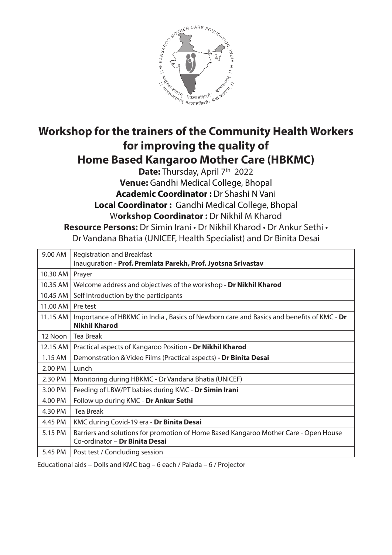

### **Workshop for the trainers of the Community Health Workers for improving the quality of Home Based Kangaroo Mother Care (HBKMC)**

Date: Thursday, April 7<sup>th</sup> 2022 **Venue:** Gandhi Medical College, Bhopal **Academic Coordinator :** Dr Shashi N Vani **Local Coordinator :** Gandhi Medical College, Bhopal W**orkshop Coordinator :** Dr Nikhil M Kharod **Resource Persons:** Dr Simin Irani • Dr Nikhil Kharod • Dr Ankur Sethi •

Dr Vandana Bhatia (UNICEF, Health Specialist) and Dr Binita Desai

| 9.00 AM  | <b>Registration and Breakfast</b><br>Inauguration - Prof. Premlata Parekh, Prof. Jyotsna Srivastav                     |
|----------|------------------------------------------------------------------------------------------------------------------------|
| 10.30 AM | Prayer                                                                                                                 |
| 10.35 AM | Welcome address and objectives of the workshop - Dr Nikhil Kharod                                                      |
| 10.45 AM | Self Introduction by the participants                                                                                  |
| 11.00 AM | Pre test                                                                                                               |
| 11.15 AM | Importance of HBKMC in India, Basics of Newborn care and Basics and benefits of KMC - Dr<br><b>Nikhil Kharod</b>       |
| 12 Noon  | <b>Tea Break</b>                                                                                                       |
| 12.15 AM | Practical aspects of Kangaroo Position - Dr Nikhil Kharod                                                              |
| 1.15 AM  | Demonstration & Video Films (Practical aspects) - Dr Binita Desai                                                      |
| 2.00 PM  | Lunch                                                                                                                  |
| 2.30 PM  | Monitoring during HBKMC - Dr Vandana Bhatia (UNICEF)                                                                   |
| 3.00 PM  | Feeding of LBW/PT babies during KMC - Dr Simin Irani                                                                   |
| 4.00 PM  | Follow up during KMC - Dr Ankur Sethi                                                                                  |
| 4.30 PM  | <b>Tea Break</b>                                                                                                       |
| 4.45 PM  | KMC during Covid-19 era - Dr Binita Desai                                                                              |
| 5.15 PM  | Barriers and solutions for promotion of Home Based Kangaroo Mother Care - Open House<br>Co-ordinator - Dr Binita Desai |
| 5.45 PM  | Post test / Concluding session                                                                                         |

Educational aids – Dolls and KMC bag – 6 each / Palada – 6 / Projector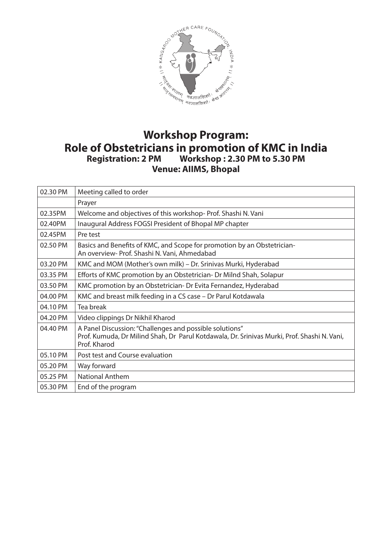

## **Role of Obstetricians in promotion of KMC in India Registration: 2 PM Workshop : 2.30 PM to 5.30 PM Venue: AIIMS, Bhopal**

| 02.30 PM | Meeting called to order                                                                                                                                                |
|----------|------------------------------------------------------------------------------------------------------------------------------------------------------------------------|
|          | Prayer                                                                                                                                                                 |
| 02.35PM  | Welcome and objectives of this workshop-Prof. Shashi N. Vani                                                                                                           |
| 02.40PM  | Inaugural Address FOGSI President of Bhopal MP chapter                                                                                                                 |
| 02.45PM  | Pre test                                                                                                                                                               |
| 02.50 PM | Basics and Benefits of KMC, and Scope for promotion by an Obstetrician-<br>An overview- Prof. Shashi N. Vani, Ahmedabad                                                |
| 03.20 PM | KMC and MOM (Mother's own milk) - Dr. Srinivas Murki, Hyderabad                                                                                                        |
| 03.35 PM | Efforts of KMC promotion by an Obstetrician- Dr Milnd Shah, Solapur                                                                                                    |
| 03.50 PM | KMC promotion by an Obstetrician- Dr Evita Fernandez, Hyderabad                                                                                                        |
| 04.00 PM | KMC and breast milk feeding in a CS case - Dr Parul Kotdawala                                                                                                          |
| 04.10 PM | Tea break                                                                                                                                                              |
| 04.20 PM | Video clippings Dr Nikhil Kharod                                                                                                                                       |
| 04.40 PM | A Panel Discussion: "Challenges and possible solutions"<br>Prof. Kumuda, Dr Milind Shah, Dr Parul Kotdawala, Dr. Srinivas Murki, Prof. Shashi N. Vani,<br>Prof. Kharod |
| 05.10 PM | Post test and Course evaluation                                                                                                                                        |
| 05.20 PM | Way forward                                                                                                                                                            |
| 05.25 PM | <b>National Anthem</b>                                                                                                                                                 |
| 05.30 PM | End of the program                                                                                                                                                     |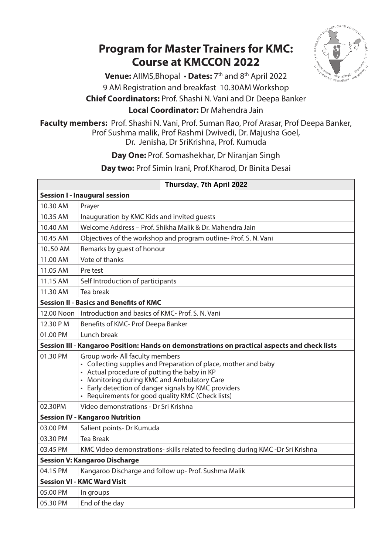#### **Program for Master Trainers for KMC: Course at KMCCON 2022**



Venue: AllMS, Bhopal • Dates: 7<sup>th</sup> and 8<sup>th</sup> April 2022 9 AM Registration and breakfast 10.30AM Workshop **Chief Coordinators:** Prof. Shashi N. Vani and Dr Deepa Banker **Local Coordinator:** Dr Mahendra Jain

**Faculty members:** Prof. Shashi N. Vani, Prof. Suman Rao, Prof Arasar, Prof Deepa Banker, Prof Sushma malik, Prof Rashmi Dwivedi, Dr. Majusha Goel, Dr. Jenisha, Dr SriKrishna, Prof. Kumuda

**Day One:** Prof. Somashekhar, Dr Niranjan Singh

**Day two:** Prof Simin Irani, Prof.Kharod, Dr Binita Desai

| Thursday, 7th April 2022               |                                                                                                                                                                                                                                                                                                                           |  |
|----------------------------------------|---------------------------------------------------------------------------------------------------------------------------------------------------------------------------------------------------------------------------------------------------------------------------------------------------------------------------|--|
| <b>Session I - Inaugural session</b>   |                                                                                                                                                                                                                                                                                                                           |  |
| 10.30 AM                               | Prayer                                                                                                                                                                                                                                                                                                                    |  |
| 10.35 AM                               | Inauguration by KMC Kids and invited guests                                                                                                                                                                                                                                                                               |  |
| 10.40 AM                               | Welcome Address - Prof. Shikha Malik & Dr. Mahendra Jain                                                                                                                                                                                                                                                                  |  |
| 10.45 AM                               | Objectives of the workshop and program outline-Prof. S. N. Vani                                                                                                                                                                                                                                                           |  |
| 10.50 AM                               | Remarks by guest of honour                                                                                                                                                                                                                                                                                                |  |
| 11.00 AM                               | Vote of thanks                                                                                                                                                                                                                                                                                                            |  |
| 11.05 AM                               | Pre test                                                                                                                                                                                                                                                                                                                  |  |
| 11.15 AM                               | Self Introduction of participants                                                                                                                                                                                                                                                                                         |  |
| 11.30 AM                               | Tea break                                                                                                                                                                                                                                                                                                                 |  |
|                                        | <b>Session II - Basics and Benefits of KMC</b>                                                                                                                                                                                                                                                                            |  |
| 12.00 Noon                             | Introduction and basics of KMC- Prof. S. N. Vani                                                                                                                                                                                                                                                                          |  |
| 12.30 PM                               | Benefits of KMC- Prof Deepa Banker                                                                                                                                                                                                                                                                                        |  |
| 01.00 PM                               | Lunch break                                                                                                                                                                                                                                                                                                               |  |
|                                        | Session III - Kangaroo Position: Hands on demonstrations on practical aspects and check lists                                                                                                                                                                                                                             |  |
| 01.30 PM                               | Group work- All faculty members<br>• Collecting supplies and Preparation of place, mother and baby<br>• Actual procedure of putting the baby in KP<br>• Monitoring during KMC and Ambulatory Care<br>Early detection of danger signals by KMC providers<br>$\bullet$<br>• Requirements for good quality KMC (Check lists) |  |
| 02.30PM                                | Video demonstrations - Dr Sri Krishna                                                                                                                                                                                                                                                                                     |  |
| <b>Session IV - Kangaroo Nutrition</b> |                                                                                                                                                                                                                                                                                                                           |  |
| 03.00 PM                               | Salient points- Dr Kumuda                                                                                                                                                                                                                                                                                                 |  |
| 03.30 PM                               | <b>Tea Break</b>                                                                                                                                                                                                                                                                                                          |  |
| 03.45 PM                               | KMC Video demonstrations- skills related to feeding during KMC -Dr Sri Krishna                                                                                                                                                                                                                                            |  |
|                                        | <b>Session V: Kangaroo Discharge</b>                                                                                                                                                                                                                                                                                      |  |
| 04.15 PM                               | Kangaroo Discharge and follow up- Prof. Sushma Malik                                                                                                                                                                                                                                                                      |  |
|                                        | <b>Session VI - KMC Ward Visit</b>                                                                                                                                                                                                                                                                                        |  |
| 05.00 PM                               | In groups                                                                                                                                                                                                                                                                                                                 |  |
| 05.30 PM                               | End of the day                                                                                                                                                                                                                                                                                                            |  |